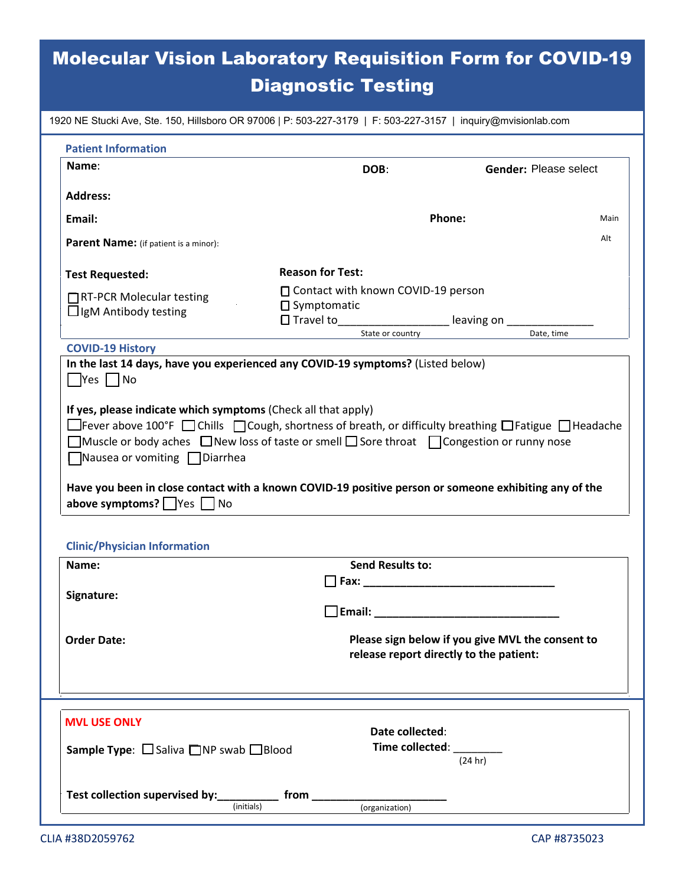# Molecular Vision Laboratory Requisition Form for COVID-19 Diagnostic Testing

| 1920 NE Stucki Ave, Ste. 150, Hillsboro OR 97006   P: 503-227-3179   F: 503-227-3157   inquiry@mvisionlab.com                                                                                                                                                                                                                        |                                                                         |                                                                                             |  |  |
|--------------------------------------------------------------------------------------------------------------------------------------------------------------------------------------------------------------------------------------------------------------------------------------------------------------------------------------|-------------------------------------------------------------------------|---------------------------------------------------------------------------------------------|--|--|
| <b>Patient Information</b>                                                                                                                                                                                                                                                                                                           |                                                                         |                                                                                             |  |  |
| Name:                                                                                                                                                                                                                                                                                                                                | DOB:                                                                    | Gender: Please select                                                                       |  |  |
| <b>Address:</b>                                                                                                                                                                                                                                                                                                                      |                                                                         |                                                                                             |  |  |
| Email:                                                                                                                                                                                                                                                                                                                               |                                                                         | Phone:<br>Main                                                                              |  |  |
|                                                                                                                                                                                                                                                                                                                                      |                                                                         | Alt                                                                                         |  |  |
| Parent Name: (if patient is a minor):                                                                                                                                                                                                                                                                                                |                                                                         |                                                                                             |  |  |
| <b>Test Requested:</b>                                                                                                                                                                                                                                                                                                               | <b>Reason for Test:</b>                                                 |                                                                                             |  |  |
| □RT-PCR Molecular testing                                                                                                                                                                                                                                                                                                            | $\Box$ Contact with known COVID-19 person                               |                                                                                             |  |  |
| $\Box$ IgM Antibody testing                                                                                                                                                                                                                                                                                                          | $\square$ Symptomatic<br>□ Travel to______________________ leaving on _ |                                                                                             |  |  |
|                                                                                                                                                                                                                                                                                                                                      | State or country                                                        | Date, time                                                                                  |  |  |
| <b>COVID-19 History</b>                                                                                                                                                                                                                                                                                                              |                                                                         |                                                                                             |  |  |
| $\blacksquare$ Yes $\blacksquare$ No<br>If yes, please indicate which symptoms (Check all that apply)<br>□ Fever above 100°F □ Chills □ Cough, shortness of breath, or difficulty breathing □ Fatigue □ Headache<br>$\Box$ Muscle or body aches $\Box$ New loss of taste or smell $\Box$ Sore throat $\Box$ Congestion or runny nose |                                                                         |                                                                                             |  |  |
| Have you been in close contact with a known COVID-19 positive person or someone exhibiting any of the<br>above symptoms? $\Box$ Yes $\Box$ No<br><b>Clinic/Physician Information</b>                                                                                                                                                 |                                                                         |                                                                                             |  |  |
| Name:                                                                                                                                                                                                                                                                                                                                | <b>Send Results to:</b>                                                 |                                                                                             |  |  |
|                                                                                                                                                                                                                                                                                                                                      | Fax: ______________                                                     |                                                                                             |  |  |
| Signature:<br>$\Box$ Email:                                                                                                                                                                                                                                                                                                          |                                                                         |                                                                                             |  |  |
| <b>Order Date:</b>                                                                                                                                                                                                                                                                                                                   |                                                                         | Please sign below if you give MVL the consent to<br>release report directly to the patient: |  |  |
| <b>MVL USE ONLY</b>                                                                                                                                                                                                                                                                                                                  | Date collected:<br>Time collected: Name of Time                         |                                                                                             |  |  |
| <b>Sample Type:</b> $\Box$ Saliva $\Box$ NP swab $\Box$ Blood<br>Test collection supervised by: ____________ from _____                                                                                                                                                                                                              | (organization)                                                          | (24 hr)                                                                                     |  |  |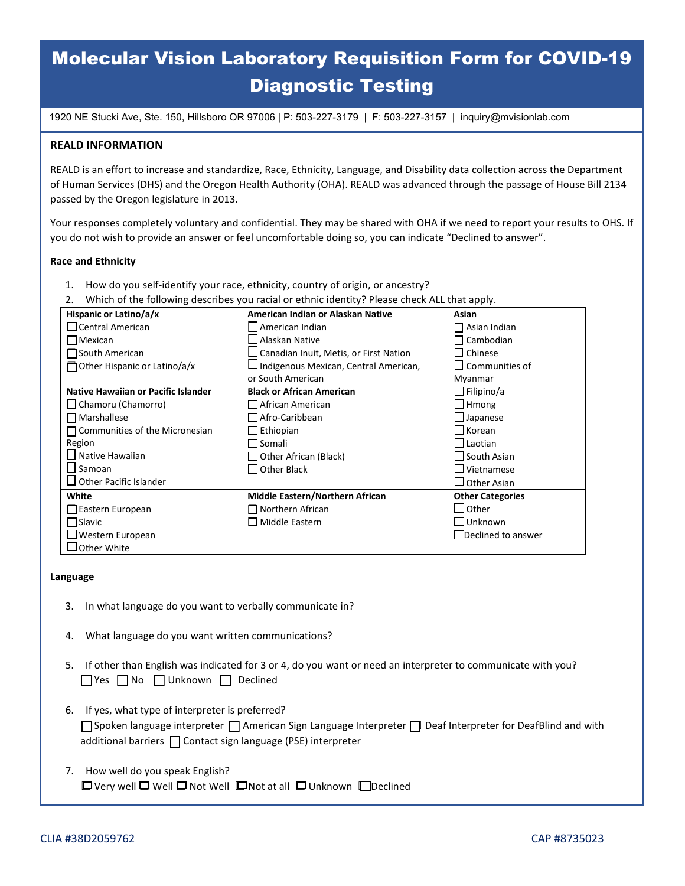## Molecular Vision Laboratory Requisition Form for COVID-19 Diagnostic Testing

1920 NE Stucki Ave, Ste. 150, Hillsboro OR 97006 | P: 503-227-3179 | F: 503-227-3157 | [inquiry@mvisionlab.com](mailto:inquiry@mvisionlab.com)

#### **REALD INFORMATION**

REALD is an effort to increase and standardize, Race, Ethnicity, Language, and Disability data collection across the Department of Human Services (DHS) and the Oregon Health Authority (OHA). REALD was advanced through the passage of House Bill 2134 passed by the Oregon legislature in 2013.

Your responses completely voluntary and confidential. They may be shared with OHA if we need to report your results to OHS. If you do not wish to provide an answer or feel uncomfortable doing so, you can indicate "Declined to answer".

#### **Race and Ethnicity**

- 1. How do you self-identify your race, ethnicity, country of origin, or ancestry?
- 2. Which of the following describes you racial or ethnic identity? Please check ALL that apply.

| Hispanic or Latino/a/x                     | American Indian or Alaskan Native             | Asian                    |  |  |
|--------------------------------------------|-----------------------------------------------|--------------------------|--|--|
| $\Box$ Central American                    | American Indian                               | $\Box$ Asian Indian      |  |  |
| $\Box$ Mexican                             | HAlaskan Native                               | $\Box$ Cambodian         |  |  |
| $\Box$ South American                      | $\Box$ Canadian Inuit, Metis, or First Nation | $\Box$ Chinese           |  |  |
| $\Box$ Other Hispanic or Latino/a/x        | Indigenous Mexican, Central American,         | $\square$ Communities of |  |  |
|                                            | or South American                             | Myanmar                  |  |  |
| <b>Native Hawaiian or Pacific Islander</b> | <b>Black or African American</b>              | $\Box$ Filipino/a        |  |  |
| $\Box$ Chamoru (Chamorro)                  | $\Box$ African American                       | $\Box$ Hmong             |  |  |
| $\Box$ Marshallese                         | $\Box$ Afro-Caribbean                         | $\Box$ Japanese          |  |  |
| $\Box$ Communities of the Micronesian      | $\Box$ Ethiopian                              | $\Box$ Korean            |  |  |
| Region                                     | $\Box$ Somali                                 | $\Box$ Laotian           |  |  |
| Native Hawaiian                            | $\Box$ Other African (Black)                  | $\Box$ South Asian       |  |  |
| $\Box$ Samoan                              | □ Other Black                                 | $\Box$ Vietnamese        |  |  |
| $\Box$ Other Pacific Islander              |                                               | $\Box$ Other Asian       |  |  |
| White                                      | Middle Eastern/Northern African               | <b>Other Categories</b>  |  |  |
| Eastern European                           | $\Box$ Northern African                       | $\Box$ Other             |  |  |
| <b>□</b> Slavic                            | $\Box$ Middle Eastern                         | $\Box$ Unknown           |  |  |
| $\Box$ Western European                    |                                               | Declined to answer       |  |  |
| $\lrcorner$ Other White                    |                                               |                          |  |  |

#### **Language**

- 3. In what language do you want to verbally communicate in?
- 4. What language do you want written communications?
- 5. If other than English was indicated for 3 or 4, do you want or need an interpreter to communicate with you? ☐ Yes ☐ No ☐ Unknown ☐ Declined
- 6. If yes, what type of interpreter is preferred? □Spoken language interpreter □ American Sign Language Interpreter □ Deaf Interpreter for DeafBlind and with additional barriers ☐ Contact sign language (PSE) interpreter
- 7. How well do you speak English? ☐ Very well ☐ Well ☐ Not Well ☐ Not at all ☐ Unknown ☐ Declined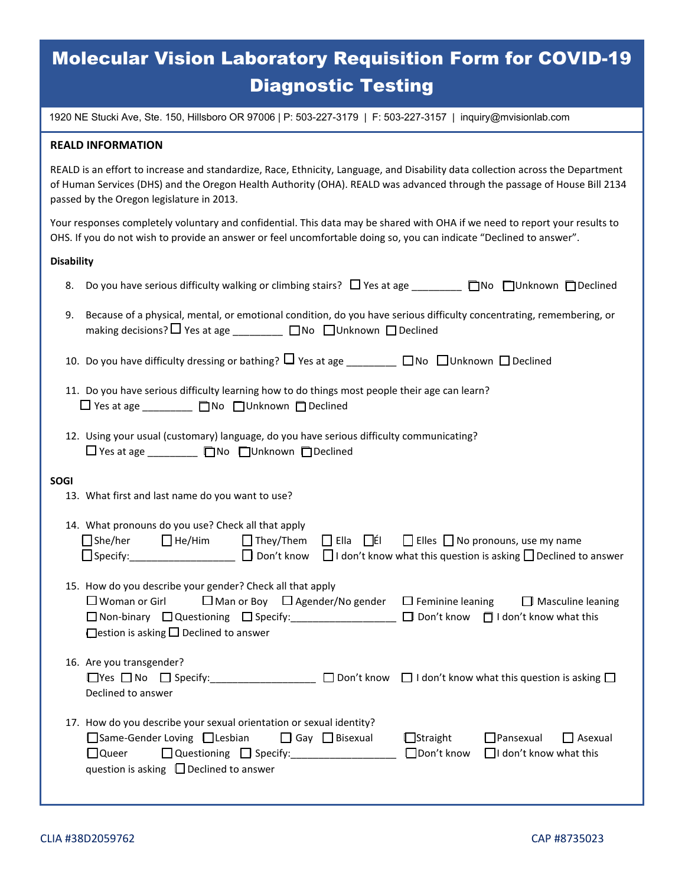## Molecular Vision Laboratory Requisition Form for COVID-19 Diagnostic Testing

1920 NE Stucki Ave, Ste. 150, Hillsboro OR 97006 | P: 503-227-3179 | F: 503-227-3157 | [inquiry@mvisionlab.com](mailto:inquiry@mvisionlab.com)

#### **REALD INFORMATION**

REALD is an effort to increase and standardize, Race, Ethnicity, Language, and Disability data collection across the Department of Human Services (DHS) and the Oregon Health Authority (OHA). REALD was advanced through the passage of House Bill 2134 passed by the Oregon legislature in 2013.

Your responses completely voluntary and confidential. This data may be shared with OHA if we need to report your results to OHS. If you do not wish to provide an answer or feel uncomfortable doing so, you can indicate "Declined to answer".

#### **Disability**

| 8.          | Do you have serious difficulty walking or climbing stairs? $\Box$ Yes at age ________ no nunknown numbelined                                                                                                                                                                                                                                        |  |  |  |  |
|-------------|-----------------------------------------------------------------------------------------------------------------------------------------------------------------------------------------------------------------------------------------------------------------------------------------------------------------------------------------------------|--|--|--|--|
| 9.          | Because of a physical, mental, or emotional condition, do you have serious difficulty concentrating, remembering, or<br>making decisions? □ Yes at age ________ □ No □ Unknown □ Declined                                                                                                                                                           |  |  |  |  |
|             | 10. Do you have difficulty dressing or bathing? $\Box$ Yes at age ________ $\Box$ No $\Box$ Unknown $\Box$ Declined                                                                                                                                                                                                                                 |  |  |  |  |
|             | 11. Do you have serious difficulty learning how to do things most people their age can learn?<br>$\Box$ Yes at age $\Box$ No $\Box$ Unknown $\Box$ Declined                                                                                                                                                                                         |  |  |  |  |
|             | 12. Using your usual (customary) language, do you have serious difficulty communicating?<br>□ Yes at age ________ □ No □ Unknown □ Declined                                                                                                                                                                                                         |  |  |  |  |
| <b>SOGI</b> | 13. What first and last name do you want to use?                                                                                                                                                                                                                                                                                                    |  |  |  |  |
|             | 14. What pronouns do you use? Check all that apply<br>□She/her □ He/Him □ They/Them □ Ella □ Elle □ Elles □ No pronouns, use my name<br>□ Specify: ________________ □ Don't know □ I don't know what this question is asking □ Declined to answer                                                                                                   |  |  |  |  |
|             | 15. How do you describe your gender? Check all that apply<br>$\Box$ Man or Boy $\Box$ Agender/No gender $\Box$ Feminine leaning $\Box$ Masculine leaning<br>$\Box$ Woman or Girl<br>□ Non-binary □ Questioning □ Specify: ________________ □ Don't know □ I don't know what this<br>$\Box$ estion is asking $\Box$ Declined to answer               |  |  |  |  |
|             | 16. Are you transgender?<br>$\Box$ Yes $\Box$ No $\Box$ Specify: $\Box$ Don't know $\Box$ I don't know what this question is asking $\Box$<br>Declined to answer                                                                                                                                                                                    |  |  |  |  |
|             | 17. How do you describe your sexual orientation or sexual identity?<br>□ Same-Gender Loving □ Lesbian □ Gay □ Bisexual<br>$\Box$ Straight<br>$\Box$ Pansexual<br>$\Box$ Asexual<br>□ Don't know □ I don't know what this<br>$\Box$ Questioning $\Box$ Specify: ____________________<br>$\Box$ Queer<br>question is asking $\Box$ Declined to answer |  |  |  |  |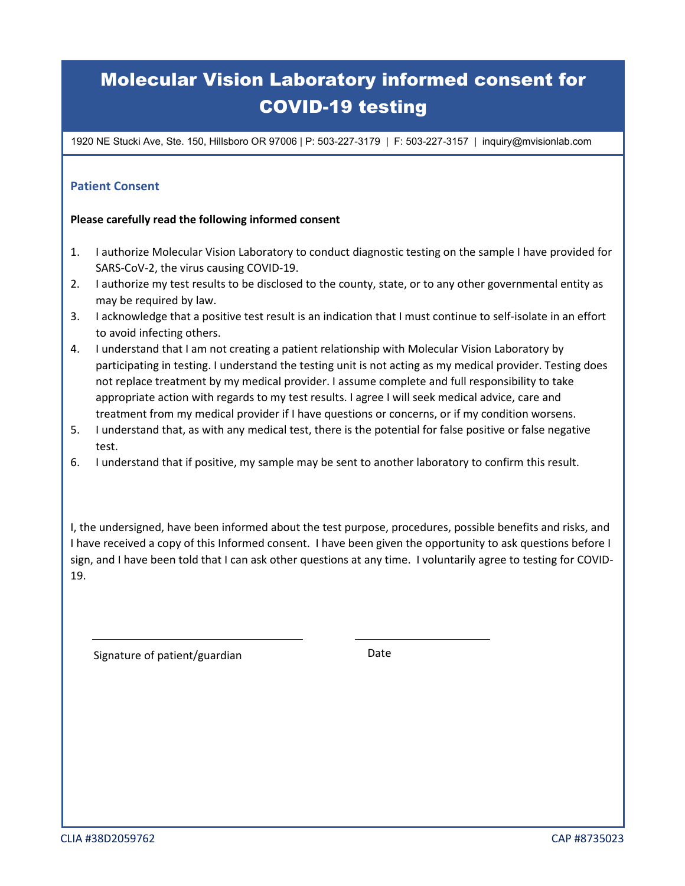## Molecular Vision Laboratory informed consent for COVID-19 testing

1920 NE Stucki Ave, Ste. 150, Hillsboro OR 97006 | P: 503-227-3179 | F: 503-227-3157 | inquiry@mvisionlab.com

### **Patient Consent**

### **Please carefully read the following informed consent**

- 1. I authorize Molecular Vision Laboratory to conduct diagnostic testing on the sample I have provided for SARS-CoV-2, the virus causing COVID-19.
- 2. I authorize my test results to be disclosed to the county, state, or to any other governmental entity as may be required by law.
- 3. I acknowledge that a positive test result is an indication that I must continue to self-isolate in an effort to avoid infecting others.
- 4. I understand that I am not creating a patient relationship with Molecular Vision Laboratory by participating in testing. I understand the testing unit is not acting as my medical provider. Testing does not replace treatment by my medical provider. I assume complete and full responsibility to take appropriate action with regards to my test results. I agree I will seek medical advice, care and treatment from my medical provider if I have questions or concerns, or if my condition worsens.
- 5. I understand that, as with any medical test, there is the potential for false positive or false negative test.
- 6. I understand that if positive, my sample may be sent to another laboratory to confirm this result.

I, the undersigned, have been informed about the test purpose, procedures, possible benefits and risks, and I have received a copy of this Informed consent. I have been given the opportunity to ask questions before I sign, and I have been told that I can ask other questions at any time. I voluntarily agree to testing for COVID-19.

Signature of patient/guardian discussed by Date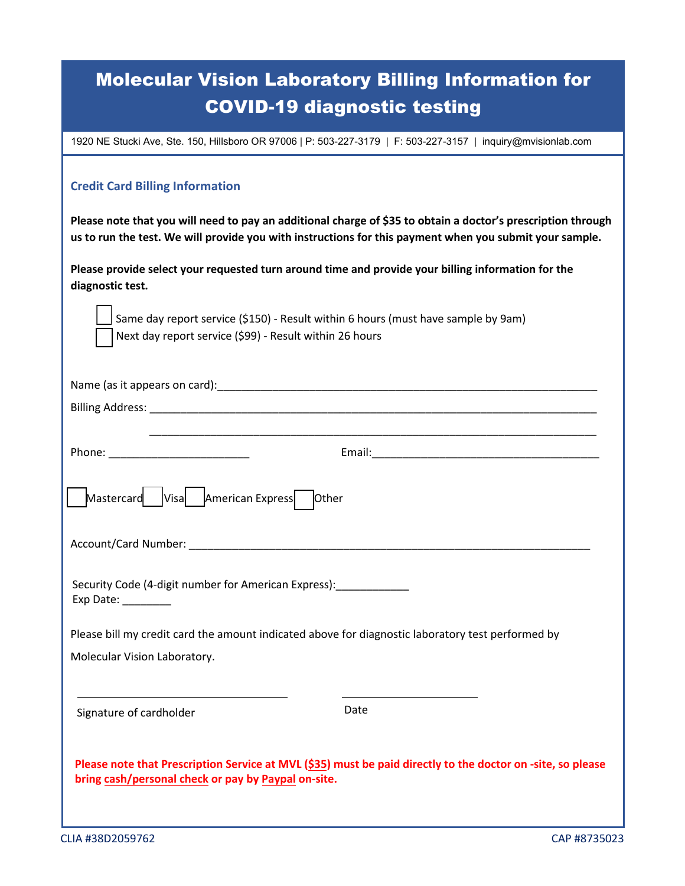| <b>Molecular Vision Laboratory Billing Information for</b> |  |  |
|------------------------------------------------------------|--|--|
| <b>COVID-19 diagnostic testing</b>                         |  |  |

1920 NE Stucki Ave, Ste. 150, Hillsboro OR 97006 | P: 503-227-3179 | F: 503-227-3157 | inquiry@mvisionlab.com

### **Credit Card Billing Information**

**Please note that you will need to pay an additional charge of \$35 to obtain a doctor's prescription through us to run the test. We will provide you with instructions for this payment when you submit your sample.** 

**Please provide select your requested turn around time and provide your billing information for the diagnostic test.** 

Same day report service (\$150) - Result within 6 hours (must have sample by 9am) Next day report service (\$99) - Result within 26 hours

| Mastercard Visa American Express Other                                                                                                                                                                                        |
|-------------------------------------------------------------------------------------------------------------------------------------------------------------------------------------------------------------------------------|
|                                                                                                                                                                                                                               |
| Security Code (4-digit number for American Express): _____________<br>Exp Date: ________                                                                                                                                      |
| Please bill my credit card the amount indicated above for diagnostic laboratory test performed by                                                                                                                             |
| Molecular Vision Laboratory.                                                                                                                                                                                                  |
|                                                                                                                                                                                                                               |
| <u> 1989 - Johann Barn, mars eta bainar eta idazlea (h. 1989).</u><br><u> 1989 - Johann Stein, marwolaethau a bhann an t-Amhair ann an t-Amhair an t-Amhair an t-Amhair an t-Amhair an</u><br>Date<br>Signature of cardholder |
| Please note that Prescription Service at MVL (\$35) must be paid directly to the doctor on -site, so please<br>bring cash/personal check or pay by Paypal on-site.                                                            |